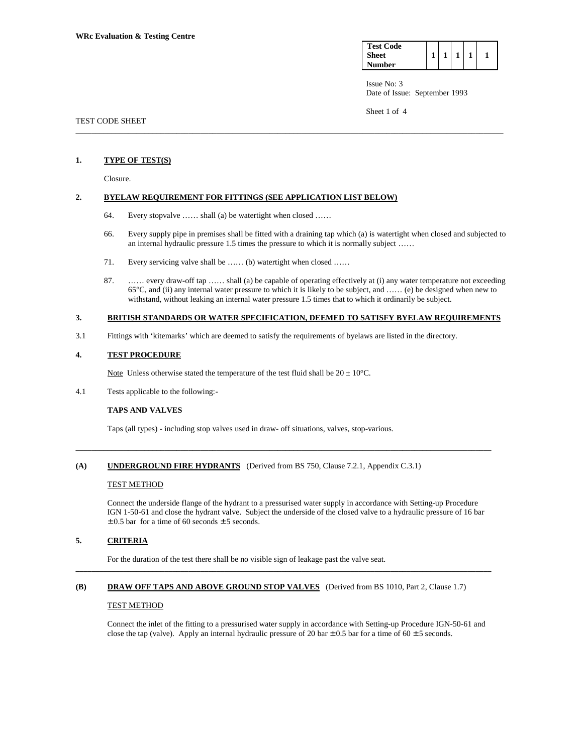| <b>Test Code</b> |  |  |  |
|------------------|--|--|--|
| <b>Sheet</b>     |  |  |  |
| <b>Number</b>    |  |  |  |

Sheet 1 of 4

# TEST CODE SHEET

### **1. TYPE OF TEST(S)**

Closure.

## **2. BYELAW REQUIREMENT FOR FITTINGS (SEE APPLICATION LIST BELOW)**

- 64. Every stopvalve …… shall (a) be watertight when closed ……
- 66. Every supply pipe in premises shall be fitted with a draining tap which (a) is watertight when closed and subjected to an internal hydraulic pressure 1.5 times the pressure to which it is normally subject ……

\_\_\_\_\_\_\_\_\_\_\_\_\_\_\_\_\_\_\_\_\_\_\_\_\_\_\_\_\_\_\_\_\_\_\_\_\_\_\_\_\_\_\_\_\_\_\_\_\_\_\_\_\_\_\_\_\_\_\_\_\_\_\_\_\_\_\_\_\_\_\_\_\_\_\_\_\_\_\_\_\_\_\_\_\_\_\_\_\_\_\_\_\_\_\_\_\_\_\_\_\_\_\_\_\_\_

- 71. Every servicing valve shall be …… (b) watertight when closed ……
- 87. …… every draw-off tap …… shall (a) be capable of operating effectively at (i) any water temperature not exceeding 65°C, and (ii) any internal water pressure to which it is likely to be subject, and …… (e) be designed when new to withstand, without leaking an internal water pressure 1.5 times that to which it ordinarily be subject.

# **3. BRITISH STANDARDS OR WATER SPECIFICATION, DEEMED TO SATISFY BYELAW REQUIREMENTS**

3.1 Fittings with 'kitemarks' which are deemed to satisfy the requirements of byelaws are listed in the directory.

## **4. TEST PROCEDURE**

Note Unless otherwise stated the temperature of the test fluid shall be  $20 \pm 10^{\circ}$ C.

4.1 Tests applicable to the following:-

## **TAPS AND VALVES**

Taps (all types) - including stop valves used in draw- off situations, valves, stop-various.

## **(A) UNDERGROUND FIRE HYDRANTS** (Derived from BS 750, Clause 7.2.1, Appendix C.3.1)

### TEST METHOD

 Connect the underside flange of the hydrant to a pressurised water supply in accordance with Setting-up Procedure IGN 1-50-61 and close the hydrant valve. Subject the underside of the closed valve to a hydraulic pressure of 16 bar  $\pm$  0.5 bar for a time of 60 seconds  $\pm$  5 seconds.

\_\_\_\_\_\_\_\_\_\_\_\_\_\_\_\_\_\_\_\_\_\_\_\_\_\_\_\_\_\_\_\_\_\_\_\_\_\_\_\_\_\_\_\_\_\_\_\_\_\_\_\_\_\_\_\_\_\_\_\_\_\_\_\_\_\_\_\_\_\_\_\_\_\_\_\_\_\_\_\_\_\_\_\_\_\_\_\_\_\_\_\_\_\_\_\_\_\_\_\_\_\_\_

## **5. CRITERIA**

For the duration of the test there shall be no visible sign of leakage past the valve seat.

### **(B) DRAW OFF TAPS AND ABOVE GROUND STOP VALVES** (Derived from BS 1010, Part 2, Clause 1.7)

**\_\_\_\_\_\_\_\_\_\_\_\_\_\_\_\_\_\_\_\_\_\_\_\_\_\_\_\_\_\_\_\_\_\_\_\_\_\_\_\_\_\_\_\_\_\_\_\_\_\_\_\_\_\_\_\_\_\_\_\_\_\_\_\_\_\_\_\_\_\_\_\_\_\_\_\_\_\_\_\_\_\_\_\_\_\_\_\_\_\_\_\_\_\_\_\_\_\_\_\_\_\_\_** 

## TEST METHOD

 Connect the inlet of the fitting to a pressurised water supply in accordance with Setting-up Procedure IGN-50-61 and close the tap (valve). Apply an internal hydraulic pressure of 20 bar  $\pm$  0.5 bar for a time of 60  $\pm$  5 seconds.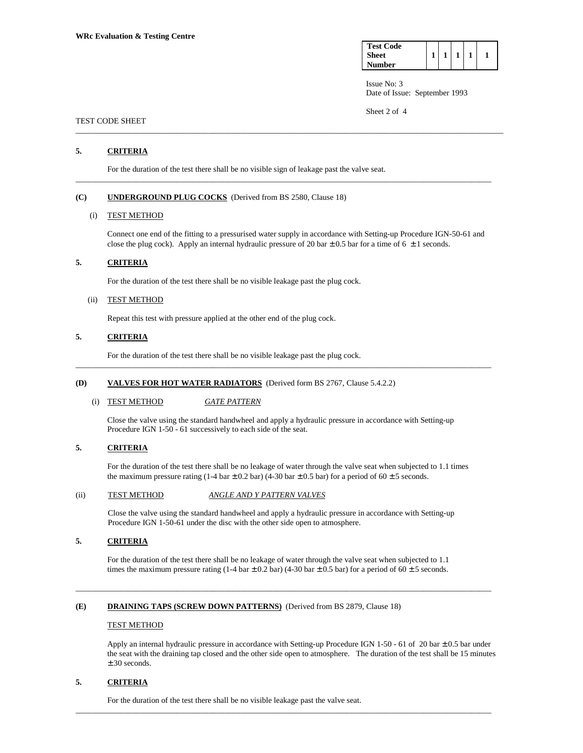| <b>Test Code</b> |  |  |  |
|------------------|--|--|--|
| Sheet            |  |  |  |
| <b>Number</b>    |  |  |  |

Sheet 2 of 4

# TEST CODE SHEET

# **5. CRITERIA**

For the duration of the test there shall be no visible sign of leakage past the valve seat.

# **(C) UNDERGROUND PLUG COCKS** (Derived from BS 2580, Clause 18)

### (i) TEST METHOD

 Connect one end of the fitting to a pressurised water supply in accordance with Setting-up Procedure IGN-50-61 and close the plug cock). Apply an internal hydraulic pressure of 20 bar  $\pm$  0.5 bar for a time of 6  $\pm$  1 seconds.

\_\_\_\_\_\_\_\_\_\_\_\_\_\_\_\_\_\_\_\_\_\_\_\_\_\_\_\_\_\_\_\_\_\_\_\_\_\_\_\_\_\_\_\_\_\_\_\_\_\_\_\_\_\_\_\_\_\_\_\_\_\_\_\_\_\_\_\_\_\_\_\_\_\_\_\_\_\_\_\_\_\_\_\_\_\_\_\_\_\_\_\_\_\_\_\_\_\_\_\_\_\_\_\_\_\_

\_\_\_\_\_\_\_\_\_\_\_\_\_\_\_\_\_\_\_\_\_\_\_\_\_\_\_\_\_\_\_\_\_\_\_\_\_\_\_\_\_\_\_\_\_\_\_\_\_\_\_\_\_\_\_\_\_\_\_\_\_\_\_\_\_\_\_\_\_\_\_\_\_\_\_\_\_\_\_\_\_\_\_\_\_\_\_\_\_\_\_\_\_\_\_\_\_\_\_\_\_\_\_

# **5. CRITERIA**

For the duration of the test there shall be no visible leakage past the plug cock.

#### (ii) TEST METHOD

Repeat this test with pressure applied at the other end of the plug cock.

# **5. CRITERIA**

For the duration of the test there shall be no visible leakage past the plug cock.

# **(D) VALVES FOR HOT WATER RADIATORS** (Derived form BS 2767, Clause 5.4.2.2)

## (i) TEST METHOD *GATE PATTERN*

 Close the valve using the standard handwheel and apply a hydraulic pressure in accordance with Setting-up Procedure IGN 1-50 - 61 successively to each side of the seat.

\_\_\_\_\_\_\_\_\_\_\_\_\_\_\_\_\_\_\_\_\_\_\_\_\_\_\_\_\_\_\_\_\_\_\_\_\_\_\_\_\_\_\_\_\_\_\_\_\_\_\_\_\_\_\_\_\_\_\_\_\_\_\_\_\_\_\_\_\_\_\_\_\_\_\_\_\_\_\_\_\_\_\_\_\_\_\_\_\_\_\_\_\_\_\_\_\_\_\_\_\_\_\_

# **5. CRITERIA**

 For the duration of the test there shall be no leakage of water through the valve seat when subjected to 1.1 times the maximum pressure rating (1-4 bar  $\pm$  0.2 bar) (4-30 bar  $\pm$  0.5 bar) for a period of 60  $\pm$  5 seconds.

### (ii) TEST METHOD *ANGLE AND Y PATTERN VALVES*

 Close the valve using the standard handwheel and apply a hydraulic pressure in accordance with Setting-up Procedure IGN 1-50-61 under the disc with the other side open to atmosphere.

## **5. CRITERIA**

 For the duration of the test there shall be no leakage of water through the valve seat when subjected to 1.1 times the maximum pressure rating (1-4 bar  $\pm$  0.2 bar) (4-30 bar  $\pm$  0.5 bar) for a period of 60  $\pm$  5 seconds.

\_\_\_\_\_\_\_\_\_\_\_\_\_\_\_\_\_\_\_\_\_\_\_\_\_\_\_\_\_\_\_\_\_\_\_\_\_\_\_\_\_\_\_\_\_\_\_\_\_\_\_\_\_\_\_\_\_\_\_\_\_\_\_\_\_\_\_\_\_\_\_\_\_\_\_\_\_\_\_\_\_\_\_\_\_\_\_\_\_\_\_\_\_\_\_\_\_\_\_\_\_\_\_

\_\_\_\_\_\_\_\_\_\_\_\_\_\_\_\_\_\_\_\_\_\_\_\_\_\_\_\_\_\_\_\_\_\_\_\_\_\_\_\_\_\_\_\_\_\_\_\_\_\_\_\_\_\_\_\_\_\_\_\_\_\_\_\_\_\_\_\_\_\_\_\_\_\_\_\_\_\_\_\_\_\_\_\_\_\_\_\_\_\_\_\_\_\_\_\_\_\_\_\_\_\_\_

#### **(E) DRAINING TAPS (SCREW DOWN PATTERNS)** (Derived from BS 2879, Clause 18)

#### TEST METHOD

 Apply an internal hydraulic pressure in accordance with Setting-up Procedure IGN 1-50 - 61 of 20 bar ± 0.5 bar under the seat with the draining tap closed and the other side open to atmosphere. The duration of the test shall be 15 minutes ± 30 seconds.

## **5. CRITERIA**

For the duration of the test there shall be no visible leakage past the valve seat.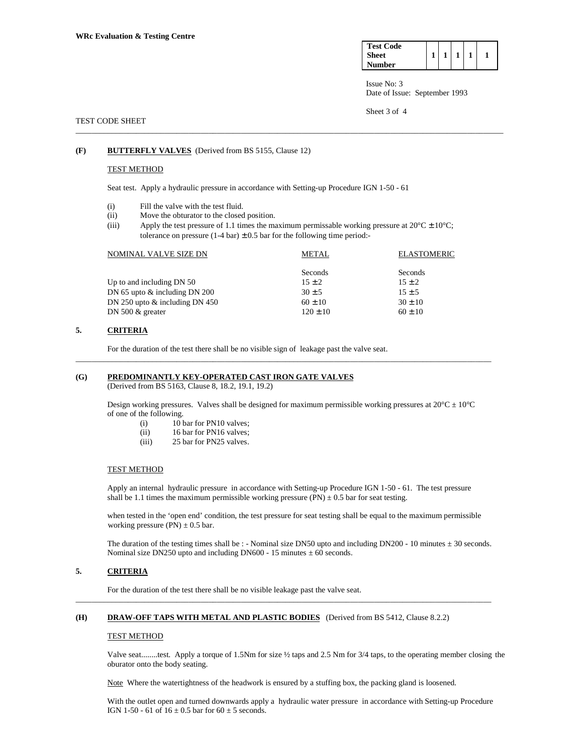| <b>Test Code</b> |  |  |  |
|------------------|--|--|--|
| <b>Sheet</b>     |  |  |  |
| Number           |  |  |  |

Sheet 3 of 4

## TEST CODE SHEET

# **(F) BUTTERFLY VALVES** (Derived from BS 5155, Clause 12)

### TEST METHOD

Seat test. Apply a hydraulic pressure in accordance with Setting-up Procedure IGN 1-50 - 61

- (i) Fill the valve with the test fluid.
- (ii) Move the obturator to the closed position.
- (iii) Apply the test pressure of 1.1 times the maximum permissable working pressure at  $20^{\circ}C \pm 10^{\circ}C$ ; tolerance on pressure  $(1-4 \text{ bar}) \pm 0.5$  bar for the following time period:-

\_\_\_\_\_\_\_\_\_\_\_\_\_\_\_\_\_\_\_\_\_\_\_\_\_\_\_\_\_\_\_\_\_\_\_\_\_\_\_\_\_\_\_\_\_\_\_\_\_\_\_\_\_\_\_\_\_\_\_\_\_\_\_\_\_\_\_\_\_\_\_\_\_\_\_\_\_\_\_\_\_\_\_\_\_\_\_\_\_\_\_\_\_\_\_\_\_\_\_\_\_\_\_\_\_\_

| NOMINAL VALVE SIZE DN            | <b>METAL</b> | <b>ELASTOMERIC</b> |
|----------------------------------|--------------|--------------------|
|                                  | Seconds      | Seconds            |
| Up to and including DN 50        | $15 \pm 2$   | $15 \pm 2$         |
| DN 65 upto $\&$ including DN 200 | $30 \pm 5$   | $15 \pm 5$         |
| DN 250 upto $&$ including DN 450 | $60 \pm 10$  | $30 \pm 10$        |
| DN 500 $&$ greater               | $120 \pm 10$ | $60 \pm 10$        |
|                                  |              |                    |

\_\_\_\_\_\_\_\_\_\_\_\_\_\_\_\_\_\_\_\_\_\_\_\_\_\_\_\_\_\_\_\_\_\_\_\_\_\_\_\_\_\_\_\_\_\_\_\_\_\_\_\_\_\_\_\_\_\_\_\_\_\_\_\_\_\_\_\_\_\_\_\_\_\_\_\_\_\_\_\_\_\_\_\_\_\_\_\_\_\_\_\_\_\_\_\_\_\_\_\_\_\_\_

# **5. CRITERIA**

For the duration of the test there shall be no visible sign of leakage past the valve seat.

# **(G) PREDOMINANTLY KEY-OPERATED CAST IRON GATE VALVES**

(Derived from BS 5163, Clause 8, 18.2, 19.1, 19.2)

Design working pressures. Valves shall be designed for maximum permissible working pressures at  $20^{\circ}C \pm 10^{\circ}C$ of one of the following.

- (i) 10 bar for PN10 valves;
- (ii) 16 bar for PN16 valves;
- (iii) 25 bar for PN25 valves.

### TEST METHOD

 Apply an internal hydraulic pressure in accordance with Setting-up Procedure IGN 1-50 - 61. The test pressure shall be 1.1 times the maximum permissible working pressure  $(PN) \pm 0.5$  bar for seat testing.

 when tested in the 'open end' condition, the test pressure for seat testing shall be equal to the maximum permissible working pressure (PN)  $\pm$  0.5 bar.

The duration of the testing times shall be : - Nominal size DN50 upto and including DN200 - 10 minutes  $\pm$  30 seconds. Nominal size DN250 upto and including DN600 - 15 minutes  $\pm 60$  seconds.

# **5. CRITERIA**

For the duration of the test there shall be no visible leakage past the valve seat.

# **(H) DRAW-OFF TAPS WITH METAL AND PLASTIC BODIES** (Derived from BS 5412, Clause 8.2.2)

### TEST METHOD

 Valve seat........test. Apply a torque of 1.5Nm for size ½ taps and 2.5 Nm for 3/4 taps, to the operating member closing the oburator onto the body seating.

Note Where the watertightness of the headwork is ensured by a stuffing box, the packing gland is loosened.

\_\_\_\_\_\_\_\_\_\_\_\_\_\_\_\_\_\_\_\_\_\_\_\_\_\_\_\_\_\_\_\_\_\_\_\_\_\_\_\_\_\_\_\_\_\_\_\_\_\_\_\_\_\_\_\_\_\_\_\_\_\_\_\_\_\_\_\_\_\_\_\_\_\_\_\_\_\_\_\_\_\_\_\_\_\_\_\_\_\_\_\_\_\_\_\_\_\_\_\_\_\_\_

 With the outlet open and turned downwards apply a hydraulic water pressure in accordance with Setting-up Procedure IGN 1-50 - 61 of  $16 \pm 0.5$  bar for  $60 \pm 5$  seconds.